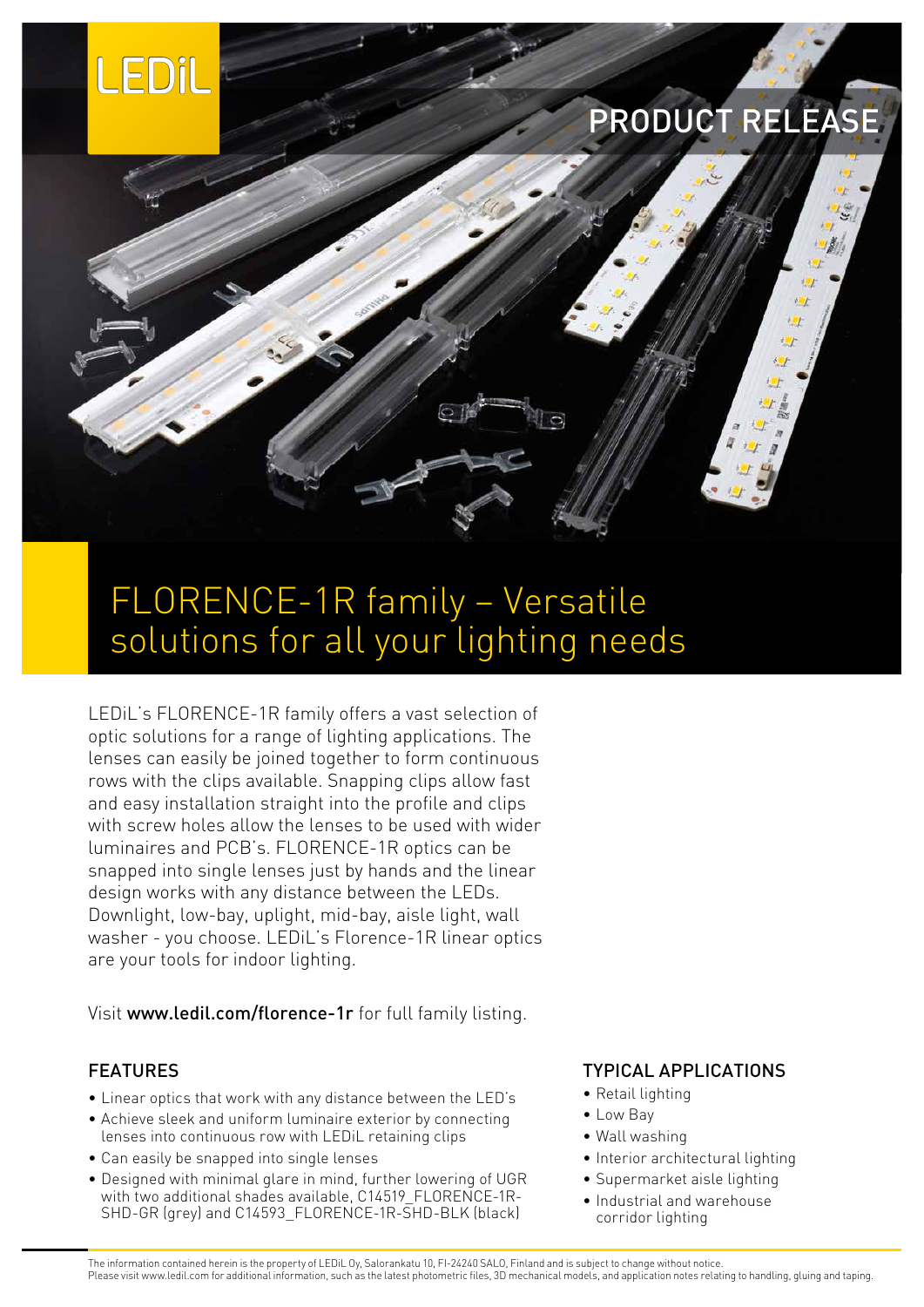

# PRODUCT RELEASE



## FLORENCE-1R family – Versatile solutions for all your lighting needs

LEDiL's FLORENCE-1R family offers a vast selection of optic solutions for a range of lighting applications. The lenses can easily be joined together to form continuous rows with the clips available. Snapping clips allow fast and easy installation straight into the profile and clips with screw holes allow the lenses to be used with wider luminaires and PCB's. FLORENCE-1R optics can be snapped into single lenses just by hands and the linear design works with any distance between the LEDs. Downlight, low-bay, uplight, mid-bay, aisle light, wall washer - you choose. LEDiL's Florence-1R linear optics are your tools for indoor lighting.

Visit [www.ledil.com/florence-1r](http://www.ledil.com/florence-1r) for full family listing.

### FEATURES

- Linear optics that work with any distance between the LED's
- Achieve sleek and uniform luminaire exterior by connecting lenses into continuous row with LEDiL retaining clips
- Can easily be snapped into single lenses
- Designed with minimal glare in mind, further lowering of UGR with two additional shades available, C14519\_FLORENCE-1R-SHD-GR (grey) and C14593\_FLORENCE-1R-SHD-BLK (black)

### TYPICAL APPLICATIONS

- Retail lighting
- Low Bay
- Wall washing
- Interior architectural lighting
- Supermarket aisle lighting
- Industrial and warehouse corridor lighting

The information contained herein is the property of LEDiL Oy, Salorankatu 10, FI-24240 SALO, Finland and is subject to change without notice. Please visit www.ledil.com for additional information, such as the latest photometric files, 3D mechanical models, and application notes relating to handling, gluing and taping.